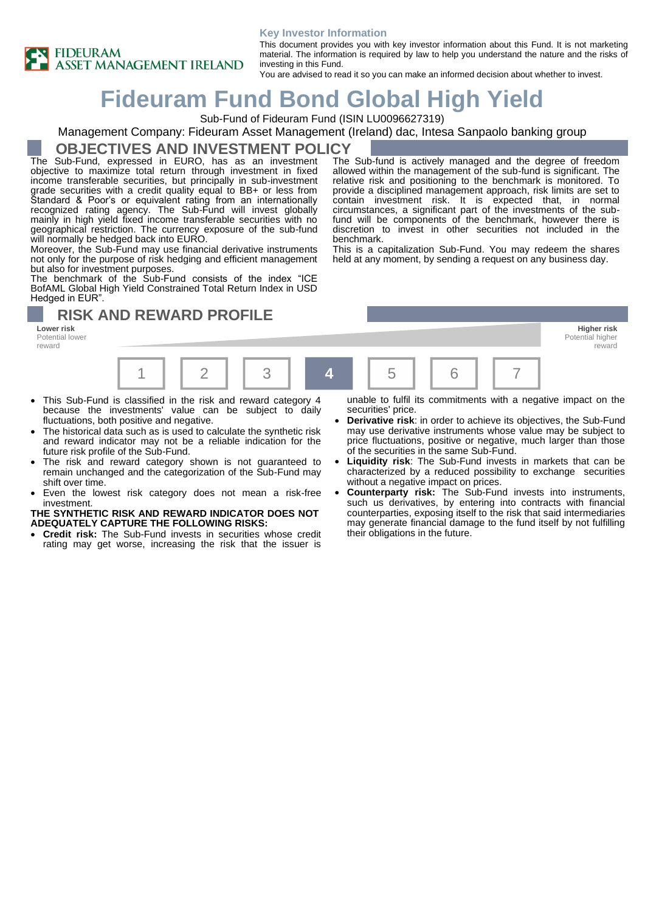

#### **Key Investor Information**

This document provides you with key investor information about this Fund. It is not marketing material. The information is required by law to help you understand the nature and the risks of investing in this Fund.

You are advised to read it so you can make an informed decision about whether to invest.

# **Fideuram Fund Bond Global High Yield**

Sub-Fund of Fideuram Fund (ISIN LU0096627319)

#### Management Company: Fideuram Asset Management (Ireland) dac, Intesa Sanpaolo banking group

**OBJECTIVES AND INVESTMENT POLICY**

The Sub-Fund, expressed in EURO, has as an investment objective to maximize total return through investment in fixed income transferable securities, but principally in sub-investment grade securities with a credit quality equal to BB+ or less from Standard & Poor's or equivalent rating from an internationally recognized rating agency. The Sub-Fund will invest globally mainly in high yield fixed income transferable securities with no geographical restriction. The currency exposure of the sub-fund will normally be hedged back into EURO.

Moreover, the Sub-Fund may use financial derivative instruments not only for the purpose of risk hedging and efficient management but also for investment purposes.

The benchmark of the Sub-Fund consists of the index "ICE BofAML Global High Yield Constrained Total Return Index in USD Hedged in EUR".

### **RISK AND REWARD PROFILE**

Potential lower reward



The Sub-fund is actively managed and the degree of freedom allowed within the management of the sub-fund is significant. The



- This Sub-Fund is classified in the risk and reward category 4 because the investments' value can be subject to daily fluctuations, both positive and negative.
- The historical data such as is used to calculate the synthetic risk and reward indicator may not be a reliable indication for the future risk profile of the Sub-Fund.
- The risk and reward category shown is not guaranteed to remain unchanged and the categorization of the Sub-Fund may shift over time.
- Even the lowest risk category does not mean a risk-free investment.

**THE SYNTHETIC RISK AND REWARD INDICATOR DOES NOT ADEQUATELY CAPTURE THE FOLLOWING RISKS:**

• **Credit risk:** The Sub-Fund invests in securities whose credit rating may get worse, increasing the risk that the issuer is unable to fulfil its commitments with a negative impact on the securities' price.

- **Derivative risk**: in order to achieve its objectives, the Sub-Fund may use derivative instruments whose value may be subject to price fluctuations, positive or negative, much larger than those of the securities in the same Sub-Fund.
- **Liquidity risk**: The Sub-Fund invests in markets that can be characterized by a reduced possibility to exchange securities without a negative impact on prices.
- **Counterparty risk:** The Sub-Fund invests into instruments, such us derivatives, by entering into contracts with financial counterparties, exposing itself to the risk that said intermediaries may generate financial damage to the fund itself by not fulfilling their obligations in the future.